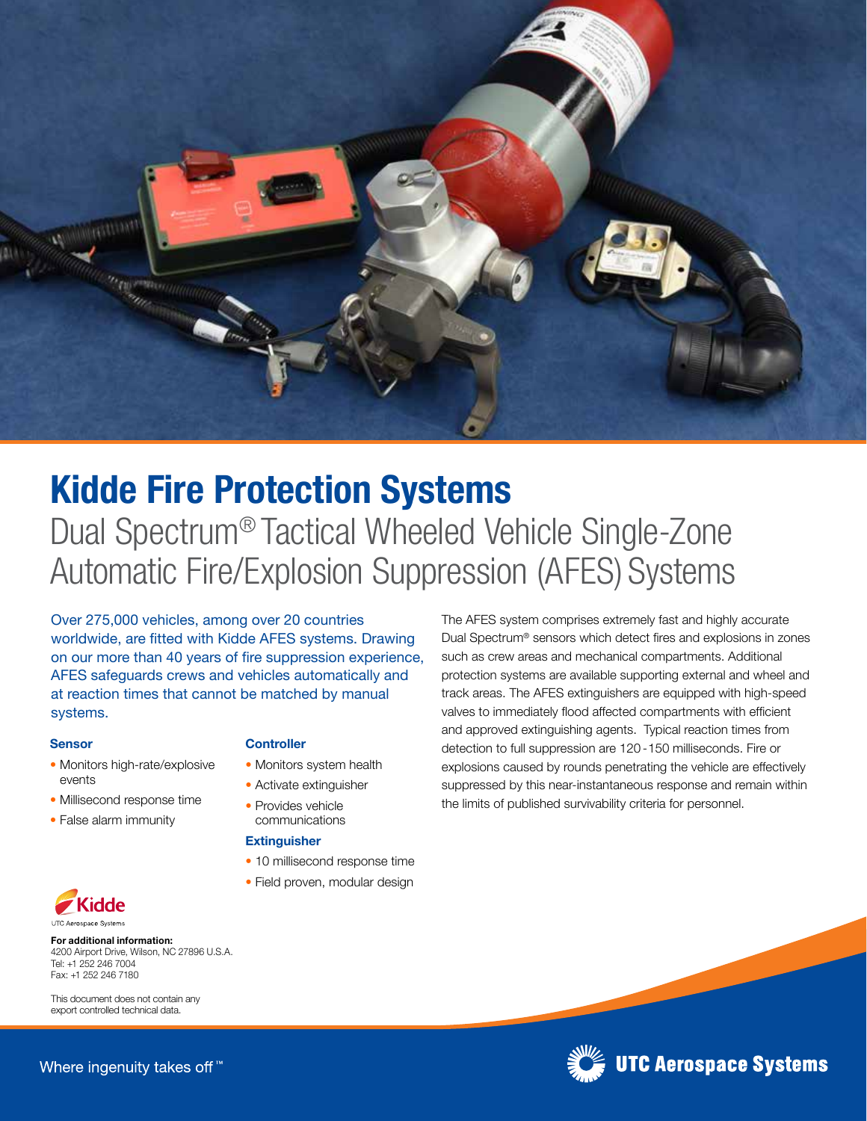

# Kidde Fire Protection Systems Dual Spectrum® Tactical Wheeled Vehicle Single-Zone Automatic Fire/Explosion Suppression (AFES) Systems

Over 275,000 vehicles, among over 20 countries worldwide, are fitted with Kidde AFES systems. Drawing on our more than 40 years of fire suppression experience, AFES safeguards crews and vehicles automatically and at reaction times that cannot be matched by manual systems.

#### Sensor

- Monitors high-rate/explosive events
- Millisecond response time
- False alarm immunity

#### **Controller**

- Monitors system health
- Activate extinguisher
- Provides vehicle communications

#### **Extinguisher**

- 10 millisecond response time
- Field proven, modular design

The AFES system comprises extremely fast and highly accurate Dual Spectrum® sensors which detect fires and explosions in zones such as crew areas and mechanical compartments. Additional protection systems are available supporting external and wheel and track areas. The AFES extinguishers are equipped with high-speed valves to immediately flood affected compartments with efficient and approved extinguishing agents. Typical reaction times from detection to full suppression are 120 - 150 milliseconds. Fire or explosions caused by rounds penetrating the vehicle are effectively suppressed by this near-instantaneous response and remain within the limits of published survivability criteria for personnel.



For additional information: 4200 Airport Drive, Wilson, NC 27896 U.S.A. Tel: +1 252 246 7004 Fax: +1 252 246 7180

This document does not contain any export controlled technical data.